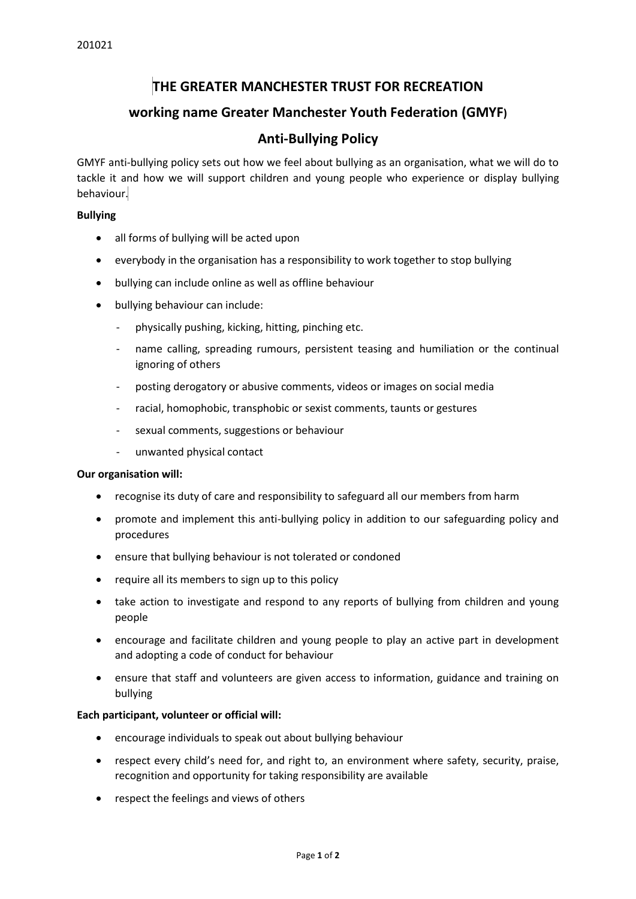# **THE GREATER MANCHESTER TRUST FOR RECREATION**

## **working name Greater Manchester Youth Federation (GMYF)**

### **Anti-Bullying Policy**

GMYF anti-bullying policy sets out how we feel about bullying as an organisation, what we will do to tackle it and how we will support children and young people who experience or display bullying behaviour.

### **Bullying**

- all forms of bullying will be acted upon
- everybody in the organisation has a responsibility to work together to stop bullying
- bullying can include online as well as offline behaviour
- bullying behaviour can include:
	- physically pushing, kicking, hitting, pinching etc.
	- name calling, spreading rumours, persistent teasing and humiliation or the continual ignoring of others
	- posting derogatory or abusive comments, videos or images on social media
	- racial, homophobic, transphobic or sexist comments, taunts or gestures
	- sexual comments, suggestions or behaviour
	- unwanted physical contact

#### **Our organisation will:**

- recognise its duty of care and responsibility to safeguard all our members from harm
- promote and implement this anti-bullying policy in addition to our safeguarding policy and procedures
- ensure that bullying behaviour is not tolerated or condoned
- require all its members to sign up to this policy
- take action to investigate and respond to any reports of bullying from children and young people
- encourage and facilitate children and young people to play an active part in development and adopting a code of conduct for behaviour
- ensure that staff and volunteers are given access to information, guidance and training on bullying

#### **Each participant, volunteer or official will:**

- encourage individuals to speak out about bullying behaviour
- respect every child's need for, and right to, an environment where safety, security, praise, recognition and opportunity for taking responsibility are available
- respect the feelings and views of others